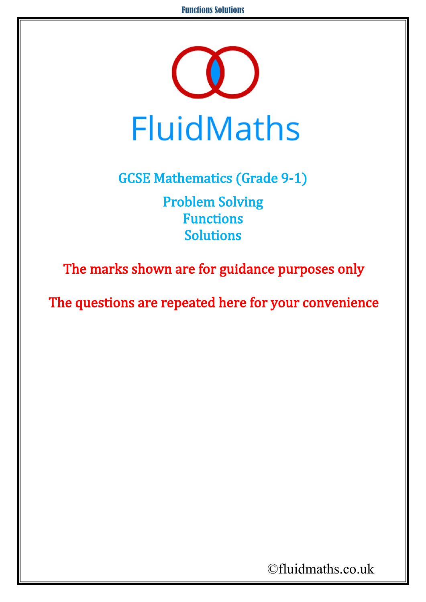

GCSE Mathematics (Grade 9-1) Problem Solving Functions Solutions

The marks shown are for guidance purposes only

The questions are repeated here for your convenience

©fluidmaths.co.uk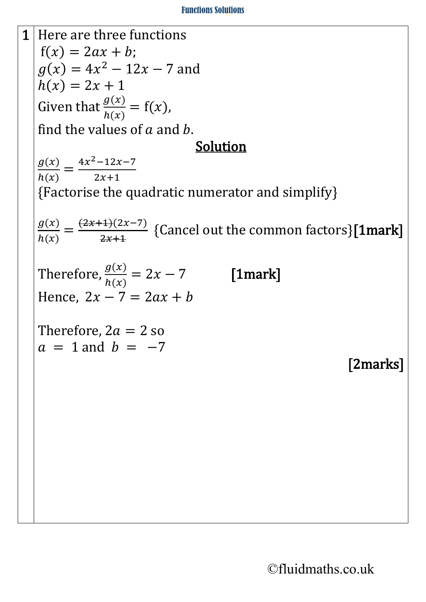## Functions Solutions

1 Here are three functions  $f(x) = 2ax + b$ ;  $g(x) = 4x^2 - 12x - 7$  and  $h(x) = 2x + 1$ Given that  $\frac{g(x)}{h(x)} = f(x)$ , find the values of  $a$  and  $b$ . Solution  $g(x)$  $\frac{\partial^2 y}{\partial h(x)} =$  $4x^2-12x-7$  $\overline{2x+1}$ {Factorise the quadratic numerator and simplify}  $g(x)$  $\frac{\partial^2 y}{\partial h(x)} =$  $\frac{(2x+1)(2x-7)}{x}$  $\frac{2x+1}{2x+1}$  {Cancel out the common factors}**[1mark]** Therefore,  $g(x)$  $h(x)$ [1mark] Hence,  $2x - 7 = 2ax + b$ Therefore,  $2a = 2$  so  $a = 1$  and  $b = -7$ [2marks]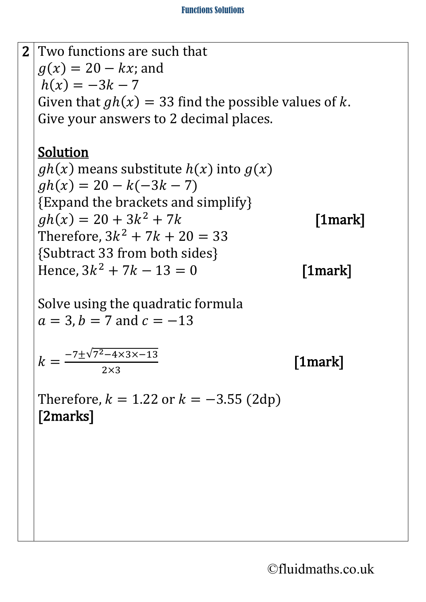

©fluidmaths.co.uk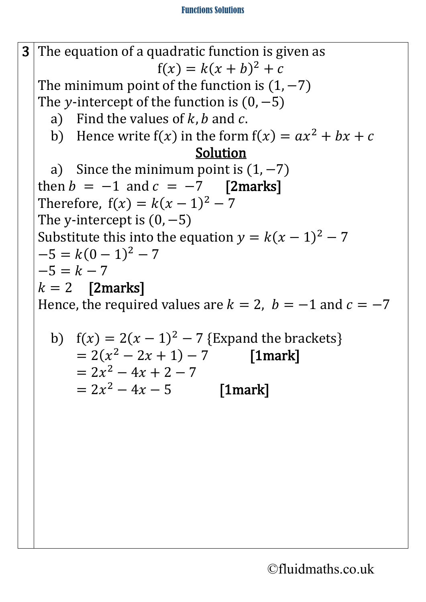**3** The equation of a quadratic function is given as  $f(x) = k(x + b)^2 + c$ The minimum point of the function is  $(1, -7)$ The y-intercept of the function is  $(0, -5)$ a) Find the values of  $k$ ,  $b$  and  $c$ . b) Hence write  $f(x)$  in the form  $f(x) = ax^2 + bx + c$ Solution a) Since the minimum point is  $(1, -7)$ then  $b = -1$  and  $c = -7$  [2marks] Therefore,  $f(x) = k(x - 1)^2 - 7$ The y-intercept is  $(0, -5)$ Substitute this into the equation  $y = k(x - 1)^2 - 7$  $-5 = k(0 - 1)^2 - 7$  $-5 = k - 7$  $k = 2$  [2marks] Hence, the required values are  $k = 2$ ,  $b = -1$  and  $c = -7$ b)  $f(x) = 2(x - 1)^2 - 7$  {Expand the brackets}  $= 2(x<sup>2</sup> - 2x + 1) - 7$  [1mark]

$$
= 2x^2 - 4x + 2 - 7
$$

 $= 2x^2 - 4x - 5$  [1mark]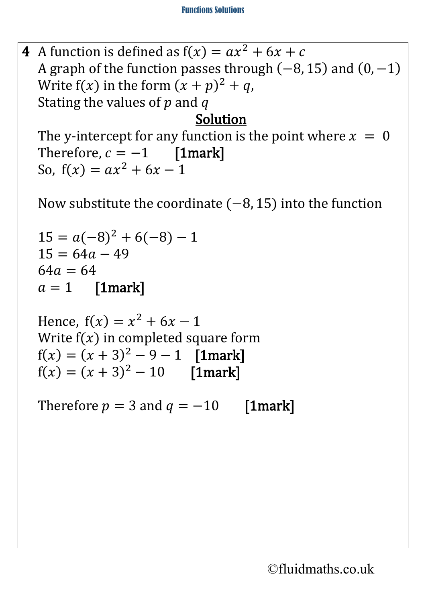**4** A function is defined as  $f(x) = ax^2 + 6x + c$ A graph of the function passes through  $(-8, 15)$  and  $(0, -1)$ Write  $f(x)$  in the form  $(x + p)^2 + q$ , Stating the values of  $p$  and  $q$ 

## Solution

The y-intercept for any function is the point where  $x = 0$ Therefore,  $c = -1$  [1mark] So,  $f(x) = ax^2 + 6x - 1$ 

Now substitute the coordinate  $(-8, 15)$  into the function

```
15 = a(-8)^2 + 6(-8) - 115 = 64a - 4964a = 64a = 1 [1mark]
```

```
Hence, f(x) = x^2 + 6x - 1Write f(x) in completed square form
f(x) = (x + 3)^2 - 9 - 1 [1mark]
f(x) = (x + 3)^2 - 10 [1mark]
```
Therefore  $p = 3$  and  $q = -10$  [1mark]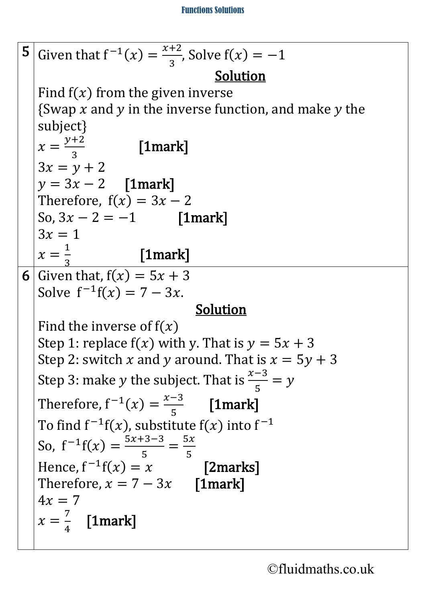**5** Given that  $f^{-1}(x) = \frac{x+2}{3}$ , Solve  $f(x) = -1$ Solution Find  $f(x)$  from the given inverse {Swap  $x$  and  $y$  in the inverse function, and make  $y$  the subject}  $x =$ <u>y+2</u>  $[1$ mark]  $3x = v + 2$  $y = 3x - 2$  [1mark] Therefore,  $f(x) = 3x - 2$ So,  $3x - 2 = -1$  [1mark]  $3x = 1$  $x =$  $\overline{1}$ – [1mark] 6 Given that,  $f(x) = 5x + 3$ Solve  $f^{-1}f(x) = 7 - 3x$ . Solution Find the inverse of  $f(x)$ Step 1: replace  $f(x)$  with y. That is  $y = 5x + 3$ Step 2: switch x and y around. That is  $x = 5y + 3$ Step 3: make *y* the subject. That is  $\frac{x-3}{5} = y$ Therefore,  $f^{-1}(x) = \frac{x-3}{5}$  $\frac{1}{5}$  [1mark] To find  $f^{-1}f(x)$ , substitute  $f(x)$  into  $f^{-1}$ So,  $f^{-1}f(x) = \frac{5x+3-3}{5}$ 5 =  $\frac{5x}{2}$  $\frac{1}{5}$ Hence,  $f^{-1}f(x) = x$  [2marks] Therefore,  $x = 7 - 3x$  [1mark]  $4x = 7$  $x =$ 7 4 [1mark]